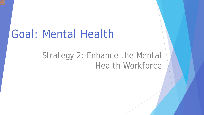# Goal: Mental Health

## Strategy 2: Enhance the Mental Health Workforce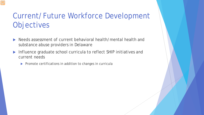### Current/Future Workforce Development **Objectives**

- Needs assessment of current behavioral health/mental health and substance abuse providers in Delaware
- Influence graduate school curricula to reflect SHIP initiatives and current needs
	- $\blacktriangleright$  Promote certifications in addition to changes in curricula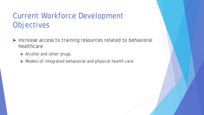### Current Workforce Development Objectives

- Increase access to training resources related to behavioral healthcare
	- Alcohol and other drugs
	- Models of integrated behavioral and physical health care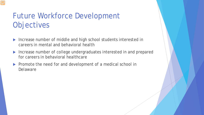### Future Workforce Development **Objectives**

- ▶ Increase number of middle and high school students interested in careers in mental and behavioral health
- ▶ Increase number of college undergraduates interested in and prepared for careers in behavioral healthcare
- **Promote the need for and development of a medical school in** Delaware